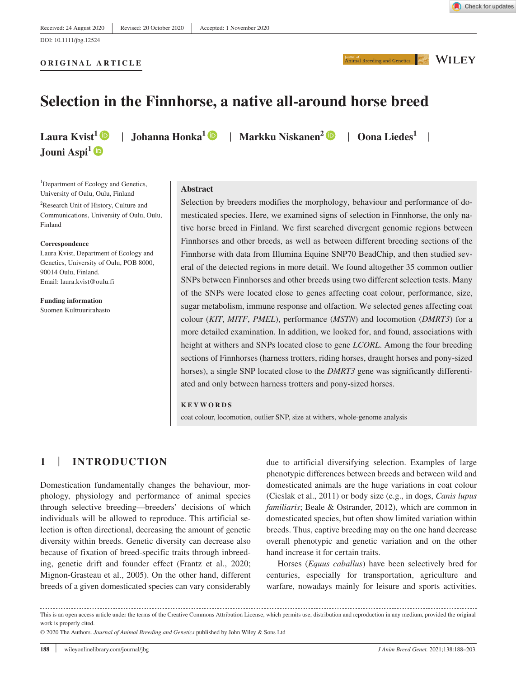**ORIGINAL ARTICLE**

Animal Breeding and Genetics NILEY

# **Selection in the Finnhorse, a native all-around horse breed**

Jouni Aspi<sup>1</sup><sup>®</sup>

**Laura Kvist<sup>1</sup> | Johanna Honka<sup>1</sup> | Markku Niskanen<sup>2</sup> | Oona Liedes<sup>1</sup> |** 

<sup>1</sup>Department of Ecology and Genetics, University of Oulu, Oulu, Finland

2 Research Unit of History, Culture and Communications, University of Oulu, Oulu, Finland

#### **Correspondence**

Laura Kvist, Department of Ecology and Genetics, University of Oulu, POB 8000, 90014 Oulu, Finland. Email: [laura.kvist@oulu.fi](mailto:laura.kvist@oulu.fi)

**Funding information** Suomen Kulttuurirahasto

## **Abstract**

Selection by breeders modifies the morphology, behaviour and performance of domesticated species. Here, we examined signs of selection in Finnhorse, the only native horse breed in Finland. We first searched divergent genomic regions between Finnhorses and other breeds, as well as between different breeding sections of the Finnhorse with data from Illumina Equine SNP70 BeadChip, and then studied several of the detected regions in more detail. We found altogether 35 common outlier SNPs between Finnhorses and other breeds using two different selection tests. Many of the SNPs were located close to genes affecting coat colour, performance, size, sugar metabolism, immune response and olfaction. We selected genes affecting coat colour (*KIT*, *MITF*, *PMEL*), performance (*MSTN*) and locomotion (*DMRT3*) for a more detailed examination. In addition, we looked for, and found, associations with height at withers and SNPs located close to gene *LCORL*. Among the four breeding sections of Finnhorses (harness trotters, riding horses, draught horses and pony-sized horses), a single SNP located close to the *DMRT3* gene was significantly differentiated and only between harness trotters and pony-sized horses.

#### **KEYWORDS**

coat colour, locomotion, outlier SNP, size at withers, whole-genome analysis

## **1** | **INTRODUCTION**

Domestication fundamentally changes the behaviour, morphology, physiology and performance of animal species through selective breeding—breeders' decisions of which individuals will be allowed to reproduce. This artificial selection is often directional, decreasing the amount of genetic diversity within breeds. Genetic diversity can decrease also because of fixation of breed-specific traits through inbreeding, genetic drift and founder effect (Frantz et al., 2020; Mignon-Grasteau et al., 2005). On the other hand, different breeds of a given domesticated species can vary considerably

due to artificial diversifying selection. Examples of large phenotypic differences between breeds and between wild and domesticated animals are the huge variations in coat colour (Cieslak et al., 2011) or body size (e.g., in dogs, *Canis lupus familiaris*; Beale & Ostrander, 2012), which are common in domesticated species, but often show limited variation within breeds. Thus, captive breeding may on the one hand decrease overall phenotypic and genetic variation and on the other hand increase it for certain traits.

Horses (*Equus caballus*) have been selectively bred for centuries, especially for transportation, agriculture and warfare, nowadays mainly for leisure and sports activities.

This is an open access article under the terms of the [Creative Commons Attribution](http://creativecommons.org/licenses/by/4.0/) License, which permits use, distribution and reproduction in any medium, provided the original work is properly cited.

© 2020 The Authors. *Journal of Animal Breeding and Genetics* published by John Wiley & Sons Ltd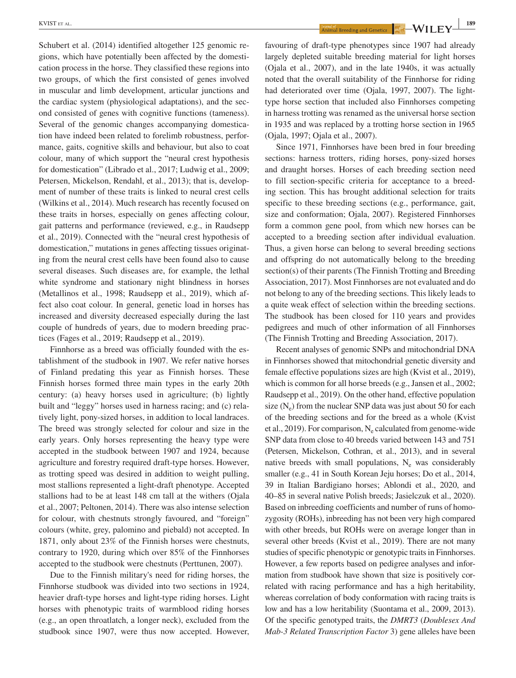Schubert et al. (2014) identified altogether 125 genomic regions, which have potentially been affected by the domestication process in the horse. They classified these regions into two groups, of which the first consisted of genes involved in muscular and limb development, articular junctions and the cardiac system (physiological adaptations), and the second consisted of genes with cognitive functions (tameness). Several of the genomic changes accompanying domestication have indeed been related to forelimb robustness, performance, gaits, cognitive skills and behaviour, but also to coat colour, many of which support the "neural crest hypothesis for domestication" (Librado et al., 2017; Ludwig et al., 2009; Petersen, Mickelson, Rendahl, et al., 2013); that is, development of number of these traits is linked to neural crest cells (Wilkins et al., 2014). Much research has recently focused on these traits in horses, especially on genes affecting colour, gait patterns and performance (reviewed, e.g., in Raudsepp et al., 2019). Connected with the "neural crest hypothesis of domestication," mutations in genes affecting tissues originating from the neural crest cells have been found also to cause several diseases. Such diseases are, for example, the lethal white syndrome and stationary night blindness in horses (Metallinos et al., 1998; Raudsepp et al., 2019), which affect also coat colour. In general, genetic load in horses has increased and diversity decreased especially during the last couple of hundreds of years, due to modern breeding practices (Fages et al., 2019; Raudsepp et al., 2019).

Finnhorse as a breed was officially founded with the establishment of the studbook in 1907. We refer native horses of Finland predating this year as Finnish horses. These Finnish horses formed three main types in the early 20th century: (a) heavy horses used in agriculture; (b) lightly built and "leggy" horses used in harness racing; and (c) relatively light, pony-sized horses, in addition to local landraces. The breed was strongly selected for colour and size in the early years. Only horses representing the heavy type were accepted in the studbook between 1907 and 1924, because agriculture and forestry required draft-type horses. However, as trotting speed was desired in addition to weight pulling, most stallions represented a light-draft phenotype. Accepted stallions had to be at least 148 cm tall at the withers (Ojala et al., 2007; Peltonen, 2014). There was also intense selection for colour, with chestnuts strongly favoured, and "foreign" colours (white, grey, palomino and piebald) not accepted. In 1871, only about 23% of the Finnish horses were chestnuts, contrary to 1920, during which over 85% of the Finnhorses accepted to the studbook were chestnuts (Perttunen, 2007).

Due to the Finnish military's need for riding horses, the Finnhorse studbook was divided into two sections in 1924, heavier draft-type horses and light-type riding horses. Light horses with phenotypic traits of warmblood riding horses (e.g., an open throatlatch, a longer neck), excluded from the studbook since 1907, were thus now accepted. However,

**EXPLIST** ET AL. **189**<br>**Animal Breeding and Cenetics**  $\begin{array}{|c|c|c|}\n\hline\n\end{array}$  **189** 

favouring of draft-type phenotypes since 1907 had already largely depleted suitable breeding material for light horses (Ojala et al., 2007), and in the late 1940s, it was actually noted that the overall suitability of the Finnhorse for riding had deteriorated over time (Ojala, 1997, 2007). The lighttype horse section that included also Finnhorses competing in harness trotting was renamed as the universal horse section in 1935 and was replaced by a trotting horse section in 1965 (Ojala, 1997; Ojala et al., 2007).

Since 1971, Finnhorses have been bred in four breeding sections: harness trotters, riding horses, pony-sized horses and draught horses. Horses of each breeding section need to fill section-specific criteria for acceptance to a breeding section. This has brought additional selection for traits specific to these breeding sections (e.g., performance, gait, size and conformation; Ojala, 2007). Registered Finnhorses form a common gene pool, from which new horses can be accepted to a breeding section after individual evaluation. Thus, a given horse can belong to several breeding sections and offspring do not automatically belong to the breeding section(s) of their parents (The Finnish Trotting and Breeding Association, 2017). Most Finnhorses are not evaluated and do not belong to any of the breeding sections. This likely leads to a quite weak effect of selection within the breeding sections. The studbook has been closed for 110 years and provides pedigrees and much of other information of all Finnhorses (The Finnish Trotting and Breeding Association, 2017).

Recent analyses of genomic SNPs and mitochondrial DNA in Finnhorses showed that mitochondrial genetic diversity and female effective populations sizes are high (Kvist et al., 2019), which is common for all horse breeds (e.g., Jansen et al., 2002; Raudsepp et al., 2019). On the other hand, effective population size  $(N_e)$  from the nuclear SNP data was just about 50 for each of the breeding sections and for the breed as a whole (Kvist et al., 2019). For comparison,  $N_e$  calculated from genome-wide SNP data from close to 40 breeds varied between 143 and 751 (Petersen, Mickelson, Cothran, et al., 2013), and in several native breeds with small populations,  $N_e$  was considerably smaller (e.g., 41 in South Korean Jeju horses; Do et al., 2014, 39 in Italian Bardigiano horses; Ablondi et al., 2020, and 40–85 in several native Polish breeds; Jasielczuk et al., 2020). Based on inbreeding coefficients and number of runs of homozygosity (ROHs), inbreeding has not been very high compared with other breeds, but ROHs were on average longer than in several other breeds (Kvist et al., 2019). There are not many studies of specific phenotypic or genotypic traits in Finnhorses. However, a few reports based on pedigree analyses and information from studbook have shown that size is positively correlated with racing performance and has a high heritability, whereas correlation of body conformation with racing traits is low and has a low heritability (Suontama et al., 2009, 2013). Of the specific genotyped traits, the *DMRT3* (*Doublesex And Mab-3 Related Transcription Factor* 3) gene alleles have been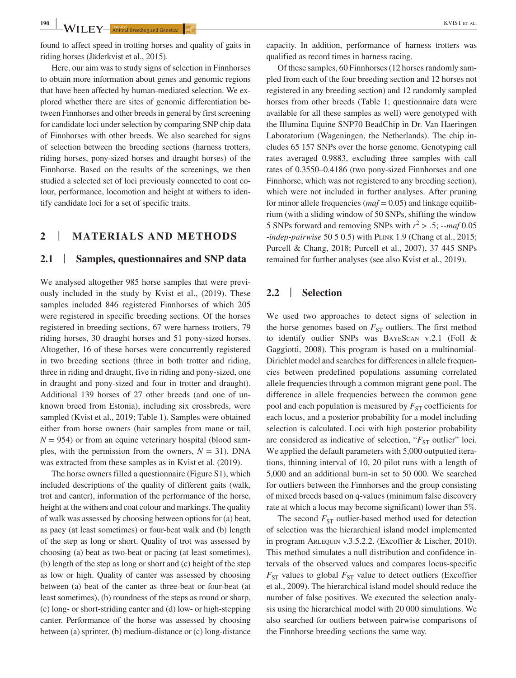found to affect speed in trotting horses and quality of gaits in riding horses (Jäderkvist et al., 2015).

Here, our aim was to study signs of selection in Finnhorses to obtain more information about genes and genomic regions that have been affected by human-mediated selection. We explored whether there are sites of genomic differentiation between Finnhorses and other breeds in general by first screening for candidate loci under selection by comparing SNP chip data of Finnhorses with other breeds. We also searched for signs of selection between the breeding sections (harness trotters, riding horses, pony-sized horses and draught horses) of the Finnhorse. Based on the results of the screenings, we then studied a selected set of loci previously connected to coat colour, performance, locomotion and height at withers to identify candidate loci for a set of specific traits.

## **2** | **MATERIALS AND METHODS**

#### **2.1** | **Samples, questionnaires and SNP data**

We analysed altogether 985 horse samples that were previously included in the study by Kvist et al., (2019). These samples included 846 registered Finnhorses of which 205 were registered in specific breeding sections. Of the horses registered in breeding sections, 67 were harness trotters, 79 riding horses, 30 draught horses and 51 pony-sized horses. Altogether, 16 of these horses were concurrently registered in two breeding sections (three in both trotter and riding, three in riding and draught, five in riding and pony-sized, one in draught and pony-sized and four in trotter and draught). Additional 139 horses of 27 other breeds (and one of unknown breed from Estonia), including six crossbreds, were sampled (Kvist et al., 2019; Table 1). Samples were obtained either from horse owners (hair samples from mane or tail,  $N = 954$ ) or from an equine veterinary hospital (blood samples, with the permission from the owners,  $N = 31$ ). DNA was extracted from these samples as in Kvist et al. (2019).

The horse owners filled a questionnaire (Figure S1), which included descriptions of the quality of different gaits (walk, trot and canter), information of the performance of the horse, height at the withers and coat colour and markings. The quality of walk was assessed by choosing between options for (a) beat, as pacy (at least sometimes) or four-beat walk and (b) length of the step as long or short. Quality of trot was assessed by choosing (a) beat as two-beat or pacing (at least sometimes), (b) length of the step as long or short and (c) height of the step as low or high. Quality of canter was assessed by choosing between (a) beat of the canter as three-beat or four-beat (at least sometimes), (b) roundness of the steps as round or sharp, (c) long- or short-striding canter and (d) low- or high-stepping canter. Performance of the horse was assessed by choosing between (a) sprinter, (b) medium-distance or (c) long-distance

capacity. In addition, performance of harness trotters was qualified as record times in harness racing.

Of these samples, 60 Finnhorses (12 horses randomly sampled from each of the four breeding section and 12 horses not registered in any breeding section) and 12 randomly sampled horses from other breeds (Table 1; questionnaire data were available for all these samples as well) were genotyped with the Illumina Equine SNP70 BeadChip in Dr. Van Haeringen Laboratorium (Wageningen, the Netherlands). The chip includes 65 157 SNPs over the horse genome. Genotyping call rates averaged 0.9883, excluding three samples with call rates of 0.3550–0.4186 (two pony-sized Finnhorses and one Finnhorse, which was not registered to any breeding section), which were not included in further analyses. After pruning for minor allele frequencies (*maf* = 0.05) and linkage equilibrium (with a sliding window of 50 SNPs, shifting the window 5 SNPs forward and removing SNPs with  $r^2 > .5$ ; --*maf* 0.05 -*indep*-*pairwise* 50 5 0.5) with Plink 1.9 (Chang et al., 2015; Purcell & Chang, 2018; Purcell et al., 2007), 37 445 SNPs remained for further analyses (see also Kvist et al., 2019).

#### **2.2** | **Selection**

We used two approaches to detect signs of selection in the horse genomes based on  $F_{ST}$  outliers. The first method to identify outlier SNPs was BayeScan v.2.1 (Foll & Gaggiotti, 2008). This program is based on a multinomial-Dirichlet model and searches for differences in allele frequencies between predefined populations assuming correlated allele frequencies through a common migrant gene pool. The difference in allele frequencies between the common gene pool and each population is measured by  $F_{ST}$  coefficients for each locus, and a posterior probability for a model including selection is calculated. Loci with high posterior probability are considered as indicative of selection, " $F_{ST}$  outlier" loci. We applied the default parameters with 5,000 outputted iterations, thinning interval of 10, 20 pilot runs with a length of 5,000 and an additional burn-in set to 50 000. We searched for outliers between the Finnhorses and the group consisting of mixed breeds based on q-values (minimum false discovery rate at which a locus may become significant) lower than 5%.

The second  $F_{ST}$  outlier-based method used for detection of selection was the hierarchical island model implemented in program Arlequin v.3.5.2.2. (Excoffier & Lischer, 2010). This method simulates a null distribution and confidence intervals of the observed values and compares locus-specific  $F_{ST}$  values to global  $F_{ST}$  value to detect outliers (Excoffier et al., 2009). The hierarchical island model should reduce the number of false positives. We executed the selection analysis using the hierarchical model with 20 000 simulations. We also searched for outliers between pairwise comparisons of the Finnhorse breeding sections the same way.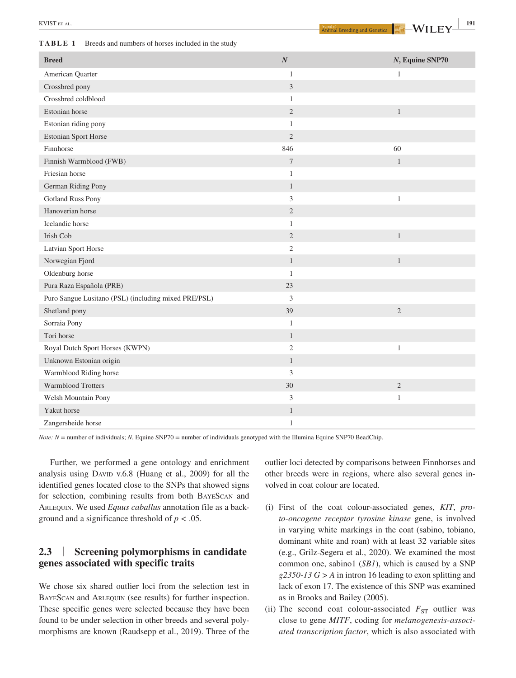**EXVIST** ET AL. **191**<br>**Animal Breeding and Genetics**  $\begin{array}{|c|c|c|}\hline \text{Armit B} & \text{Reeding and Genetics} \hline \end{array}$ 

| TABLE 1<br>Breeds and numbers of horses included in the study |  |
|---------------------------------------------------------------|--|
|---------------------------------------------------------------|--|

| <b>Breed</b>                                         | $\boldsymbol{N}$ | N, Equine SNP70 |
|------------------------------------------------------|------------------|-----------------|
| American Quarter                                     | $\mathbf{1}$     | $\mathbf{1}$    |
| Crossbred pony                                       | $\mathfrak z$    |                 |
| Crossbred coldblood                                  | $\mathbf{1}$     |                 |
| Estonian horse                                       | $\sqrt{2}$       | $\mathbf{1}$    |
| Estonian riding pony                                 | $\mathbf{1}$     |                 |
| <b>Estonian Sport Horse</b>                          | $\mathbf{2}$     |                 |
| Finnhorse                                            | 846              | 60              |
| Finnish Warmblood (FWB)                              | $\tau$           | $\mathbf{1}$    |
| Friesian horse                                       | $\mathbf{1}$     |                 |
| German Riding Pony                                   | $\mathbf{1}$     |                 |
| <b>Gotland Russ Pony</b>                             | $\mathfrak{Z}$   | $\,1\,$         |
| Hanoverian horse                                     | $\mathbf{2}$     |                 |
| Icelandic horse                                      | $\mathbf{1}$     |                 |
| Irish Cob                                            | $\mathfrak{2}$   | $\mathbf{1}$    |
| <b>Latvian Sport Horse</b>                           | $\mathfrak{2}$   |                 |
| Norwegian Fjord                                      | $\mathbf{1}$     | $\mathbf{1}$    |
| Oldenburg horse                                      | $\mathbf{1}$     |                 |
| Pura Raza Española (PRE)                             | 23               |                 |
| Puro Sangue Lusitano (PSL) (including mixed PRE/PSL) | $\mathfrak{Z}$   |                 |
| Shetland pony                                        | 39               | $\mathbf{2}$    |
| Sorraia Pony                                         | $\mathbf{1}$     |                 |
| Tori horse                                           | $\mathbf{1}$     |                 |
| Royal Dutch Sport Horses (KWPN)                      | $\mathfrak{2}$   | $\mathbf{1}$    |
| Unknown Estonian origin                              | $\mathbf{1}$     |                 |
| Warmblood Riding horse                               | $\mathfrak z$    |                 |
| Warmblood Trotters                                   | 30               | $\sqrt{2}$      |
| Welsh Mountain Pony                                  | $\mathfrak{Z}$   | $\mathbf{1}$    |
| Yakut horse                                          | $\mathbf{1}$     |                 |
| Zangersheide horse                                   | $\mathbf{1}$     |                 |

*Note: N* = number of individuals; *N*, Equine SNP70 = number of individuals genotyped with the Illumina Equine SNP70 BeadChip.

Further, we performed a gene ontology and enrichment analysis using DAVID v.6.8 (Huang et al., 2009) for all the identified genes located close to the SNPs that showed signs for selection, combining results from both BayeScan and Arlequin. We used *Equus caballus* annotation file as a background and a significance threshold of  $p < .05$ .

## **2.3** | **Screening polymorphisms in candidate genes associated with specific traits**

We chose six shared outlier loci from the selection test in BayeScan and Arlequin (see results) for further inspection. These specific genes were selected because they have been found to be under selection in other breeds and several polymorphisms are known (Raudsepp et al., 2019). Three of the outlier loci detected by comparisons between Finnhorses and other breeds were in regions, where also several genes involved in coat colour are located.

- (i) First of the coat colour-associated genes, *KIT*, *proto-oncogene receptor tyrosine kinase* gene, is involved in varying white markings in the coat (sabino, tobiano, dominant white and roan) with at least 32 variable sites (e.g., Grilz-Segera et al., 2020). We examined the most common one, sabino1 (*SB1*), which is caused by a SNP *g2350-13 G > A* in intron 16 leading to exon splitting and lack of exon 17. The existence of this SNP was examined as in Brooks and Bailey (2005).
- (ii) The second coat colour-associated  $F_{ST}$  outlier was close to gene *MITF*, coding for *melanogenesis-associated transcription factor*, which is also associated with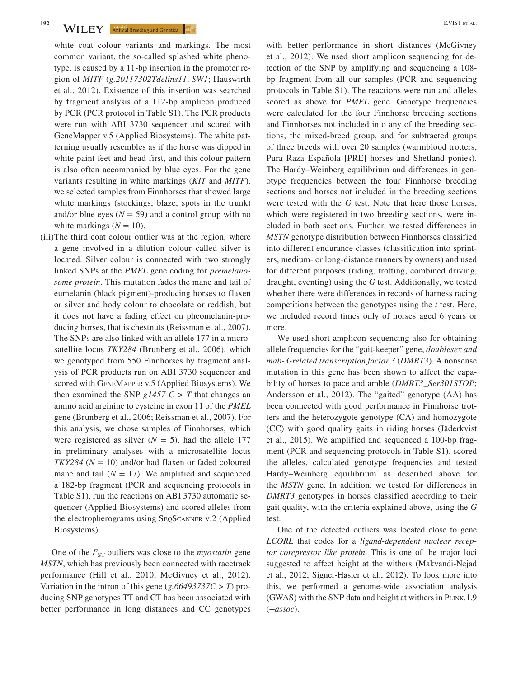**192 WILEY**—**Animal Breeding and Genetics Example 1 Container and Cenetics Example 1 Container and Cenetics Example 1 Container and Cenetics Example 1 Container and Cenetics Example 1 Container and Ce** 

white coat colour variants and markings. The most common variant, the so-called splashed white phenotype, is caused by a 11-bp insertion in the promoter region of *MITF* (*g.20117302Tdelins11*, *SW1*; Hauswirth et al., 2012). Existence of this insertion was searched by fragment analysis of a 112-bp amplicon produced by PCR (PCR protocol in Table S1). The PCR products were run with ABI 3730 sequencer and scored with GeneMapper v.5 (Applied Biosystems). The white patterning usually resembles as if the horse was dipped in white paint feet and head first, and this colour pattern is also often accompanied by blue eyes. For the gene variants resulting in white markings (*KIT* and *MITF*), we selected samples from Finnhorses that showed large white markings (stockings, blaze, spots in the trunk) and/or blue eyes  $(N = 59)$  and a control group with no white markings  $(N = 10)$ .

(iii)The third coat colour outlier was at the region, where a gene involved in a dilution colour called silver is located. Silver colour is connected with two strongly linked SNPs at the *PMEL* gene coding for *premelanosome protein*. This mutation fades the mane and tail of eumelanin (black pigment)-producing horses to flaxen or silver and body colour to chocolate or reddish, but it does not have a fading effect on pheomelanin-producing horses, that is chestnuts (Reissman et al., 2007). The SNPs are also linked with an allele 177 in a microsatellite locus *TKY284* (Brunberg et al., 2006), which we genotyped from 550 Finnhorses by fragment analysis of PCR products run on ABI 3730 sequencer and scored with GeneMapper v.5 (Applied Biosystems). We then examined the SNP  $g1457 C > T$  that changes an amino acid arginine to cysteine in exon 11 of the *PMEL* gene (Brunberg et al., 2006; Reissman et al., 2007). For this analysis, we chose samples of Finnhorses, which were registered as silver  $(N = 5)$ , had the allele 177 in preliminary analyses with a microsatellite locus *TKY284* (*N* = 10) and/or had flaxen or faded coloured mane and tail  $(N = 17)$ . We amplified and sequenced a 182-bp fragment (PCR and sequencing protocols in Table S1), run the reactions on ABI 3730 automatic sequencer (Applied Biosystems) and scored alleles from the electropherograms using SeqScanner v.2 (Applied Biosystems).

One of the  $F_{ST}$  outliers was close to the *myostatin* gene *MSTN*, which has previously been connected with racetrack performance (Hill et al., 2010; McGivney et al., 2012). Variation in the intron of this gene (*g.66493737C > T*) producing SNP genotypes TT and CT has been associated with better performance in long distances and CC genotypes

with better performance in short distances (McGivney et al., 2012). We used short amplicon sequencing for detection of the SNP by amplifying and sequencing a 108 bp fragment from all our samples (PCR and sequencing protocols in Table S1). The reactions were run and alleles scored as above for *PMEL* gene. Genotype frequencies were calculated for the four Finnhorse breeding sections and Finnhorses not included into any of the breeding sections, the mixed-breed group, and for subtracted groups of three breeds with over 20 samples (warmblood trotters, Pura Raza Española [PRE] horses and Shetland ponies). The Hardy–Weinberg equilibrium and differences in genotype frequencies between the four Finnhorse breeding sections and horses not included in the breeding sections were tested with the *G* test. Note that here those horses, which were registered in two breeding sections, were included in both sections. Further, we tested differences in *MSTN* genotype distribution between Finnhorses classified into different endurance classes (classification into sprinters, medium- or long-distance runners by owners) and used for different purposes (riding, trotting, combined driving, draught, eventing) using the *G* test. Additionally, we tested whether there were differences in records of harness racing competitions between the genotypes using the *t* test. Here, we included record times only of horses aged 6 years or more.

We used short amplicon sequencing also for obtaining allele frequencies for the "gait-keeper" gene, *doublesex and mab-3-related transcription factor 3* (*DMRT3*). A nonsense mutation in this gene has been shown to affect the capability of horses to pace and amble (*DMRT3\_Ser301STOP*; Andersson et al., 2012). The "gaited" genotype (AA) has been connected with good performance in Finnhorse trotters and the heterozygote genotype (CA) and homozygote (CC) with good quality gaits in riding horses (Jäderkvist et al., 2015). We amplified and sequenced a 100-bp fragment (PCR and sequencing protocols in Table S1), scored the alleles, calculated genotype frequencies and tested Hardy–Weinberg equilibrium as described above for the *MSTN* gene. In addition, we tested for differences in *DMRT3* genotypes in horses classified according to their gait quality, with the criteria explained above, using the *G* test.

One of the detected outliers was located close to gene *LCORL* that codes for a *ligand-dependent nuclear receptor corepressor like protein*. This is one of the major loci suggested to affect height at the withers (Makvandi-Nejad et al., 2012; Signer-Hasler et al., 2012). To look more into this, we performed a genome-wide association analysis (GWAS) with the SNP data and height at withers in PLINK.1.9 (--*assoc*).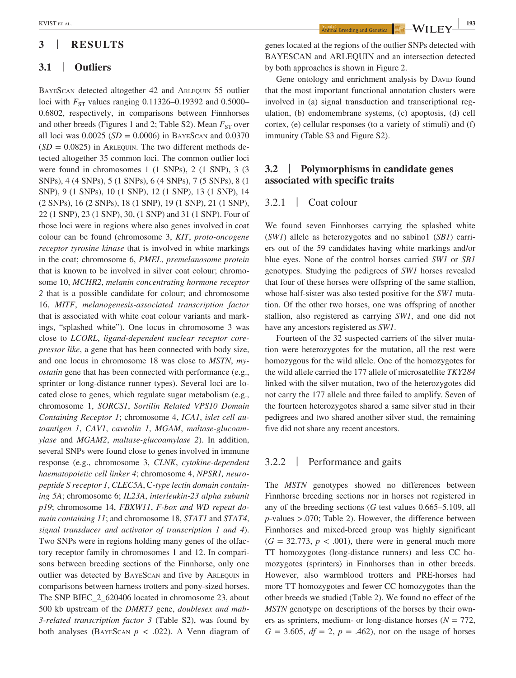## **3** | **RESULTS**

## **3.1** | **Outliers**

BayeScan detected altogether 42 and Arlequin 55 outlier loci with  $F_{ST}$  values ranging 0.11326–0.19392 and 0.5000– 0.6802, respectively, in comparisons between Finnhorses and other breeds (Figures 1 and 2; Table S2). Mean  $F_{ST}$  over all loci was  $0.0025$  (*SD* = 0.0006) in BAYESCAN and 0.0370  $(SD = 0.0825)$  in ARLEQUIN. The two different methods detected altogether 35 common loci. The common outlier loci were found in chromosomes 1 (1 SNPs), 2 (1 SNP), 3 (3 SNPs), 4 (4 SNPs), 5 (1 SNPs), 6 (4 SNPs), 7 (5 SNPs), 8 (1 SNP), 9 (1 SNPs), 10 (1 SNP), 12 (1 SNP), 13 (1 SNP), 14 (2 SNPs), 16 (2 SNPs), 18 (1 SNP), 19 (1 SNP), 21 (1 SNP), 22 (1 SNP), 23 (1 SNP), 30, (1 SNP) and 31 (1 SNP). Four of those loci were in regions where also genes involved in coat colour can be found (chromosome 3, *KIT*, *proto-oncogene receptor tyrosine kinase* that is involved in white markings in the coat; chromosome 6, *PMEL*, *premelanosome protein* that is known to be involved in silver coat colour; chromosome 10, *MCHR2*, *melanin concentrating hormone receptor 2* that is a possible candidate for colour; and chromosome 16, *MITF*, *melanogenesis-associated transcription factor* that is associated with white coat colour variants and markings, "splashed white"). One locus in chromosome 3 was close to *LCORL*, *ligand-dependent nuclear receptor corepressor like*, a gene that has been connected with body size, and one locus in chromosome 18 was close to *MSTN*, *myostatin* gene that has been connected with performance (e.g., sprinter or long-distance runner types). Several loci are located close to genes, which regulate sugar metabolism (e.g., chromosome 1, *SORCS1*, *Sortilin Related VPS10 Domain Containing Receptor 1*; chromosome 4, *ICA1*, *islet cell autoantigen 1*, *CAV1*, *caveolin 1*, *MGAM*, *maltase-glucoamylase* and *MGAM2*, *maltase-glucoamylase 2*). In addition, several SNPs were found close to genes involved in immune response (e.g., chromosome 3, *CLNK*, *cytokine-dependent haematopoietic cell linker 4*; chromosome 4, *NPSR1, neuropeptide S receptor 1*, *CLEC5A*, C*-type lectin domain containing 5A*; chromosome 6; *IL23A*, *interleukin-23 alpha subunit p19*; chromosome 14, *FBXW11*, *F-box and WD repeat domain containing 11*; and chromosome 18, *STAT1* and *STAT4*, *signal transducer and activator of transcription 1 and 4*). Two SNPs were in regions holding many genes of the olfactory receptor family in chromosomes 1 and 12. In comparisons between breeding sections of the Finnhorse, only one outlier was detected by BayeScan and five by Arlequin in comparisons between harness trotters and pony-sized horses. The SNP BIEC\_2\_620406 located in chromosome 23, about 500 kb upstream of the *DMRT3* gene, *doublesex and mab-3-related transcription factor 3* (Table S2), was found by both analyses (BAYESCAN  $p < .022$ ). A Venn diagram of

**EXVIST** ET AL. **193**<br>**Animal Breeding and Genetics**  $\begin{array}{|c|c|c|}\hline \text{Riemannian form} & \text{Area} \end{array}$ 

genes located at the regions of the outlier SNPs detected with BAYESCAN and ARLEQUIN and an intersection detected by both approaches is shown in Figure 2.

Gene ontology and enrichment analysis by DAVID found that the most important functional annotation clusters were involved in (a) signal transduction and transcriptional regulation, (b) endomembrane systems, (c) apoptosis, (d) cell cortex, (e) cellular responses (to a variety of stimuli) and (f) immunity (Table S3 and Figure S2).

## **3.2** | **Polymorphisms in candidate genes associated with specific traits**

## 3.2.1 | Coat colour

We found seven Finnhorses carrying the splashed white (*SW1*) allele as heterozygotes and no sabino1 (*SB1*) carriers out of the 59 candidates having white markings and/or blue eyes. None of the control horses carried *SW1* or *SB1* genotypes. Studying the pedigrees of *SW1* horses revealed that four of these horses were offspring of the same stallion, whose half-sister was also tested positive for the *SW1* mutation. Of the other two horses, one was offspring of another stallion, also registered as carrying *SW1*, and one did not have any ancestors registered as *SW1*.

Fourteen of the 32 suspected carriers of the silver mutation were heterozygotes for the mutation, all the rest were homozygous for the wild allele. One of the homozygotes for the wild allele carried the 177 allele of microsatellite *TKY284* linked with the silver mutation, two of the heterozygotes did not carry the 177 allele and three failed to amplify. Seven of the fourteen heterozygotes shared a same silver stud in their pedigrees and two shared another silver stud, the remaining five did not share any recent ancestors.

## 3.2.2 | Performance and gaits

The *MSTN* genotypes showed no differences between Finnhorse breeding sections nor in horses not registered in any of the breeding sections (*G* test values 0.665–5.109, all *p*-values >.070; Table 2). However, the difference between Finnhorses and mixed-breed group was highly significant  $(G = 32.773, p < .001)$ , there were in general much more TT homozygotes (long-distance runners) and less CC homozygotes (sprinters) in Finnhorses than in other breeds. However, also warmblood trotters and PRE-horses had more TT homozygotes and fewer CC homozygotes than the other breeds we studied (Table 2). We found no effect of the *MSTN* genotype on descriptions of the horses by their owners as sprinters, medium- or long-distance horses ( $N = 772$ ,  $G = 3.605$ ,  $df = 2$ ,  $p = .462$ ), nor on the usage of horses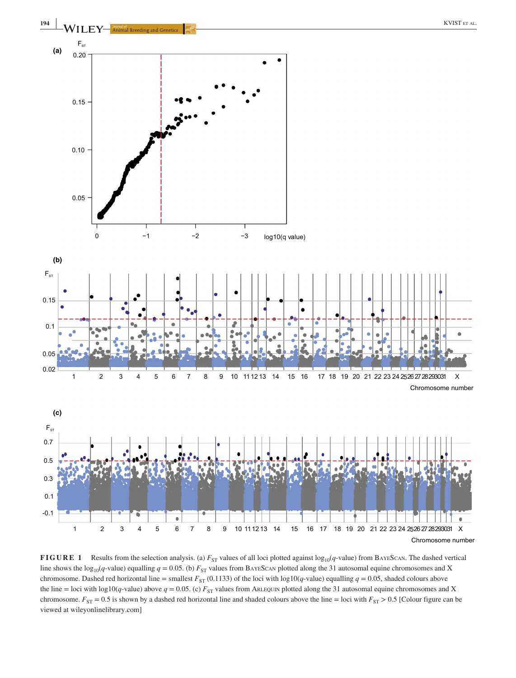

**FIGURE 1** Results from the selection analysis. (a)  $F_{ST}$  values of all loci plotted against log<sub>10</sub>(*q*-value) from BAYESCAN. The dashed vertical line shows the log<sub>10</sub>(*q*-value) equalling  $q = 0.05$ . (b)  $F_{ST}$  values from BAYESCAN plotted along the 31 autosomal equine chromosomes and X chromosome. Dashed red horizontal line = smallest  $F_{ST}$  (0.1133) of the loci with log10(*q*-value) equalling  $q = 0.05$ , shaded colours above the line = loci with log10(*q*-value) above  $q = 0.05$ . (c)  $F_{ST}$  values from ARLEQUIN plotted along the 31 autosomal equine chromosomes and X chromosome.  $F_{ST} = 0.5$  is shown by a dashed red horizontal line and shaded colours above the line = loci with  $F_{ST} > 0.5$  [Colour figure can be viewed at [wileyonlinelibrary.com\]](www.wileyonlinelibrary.com)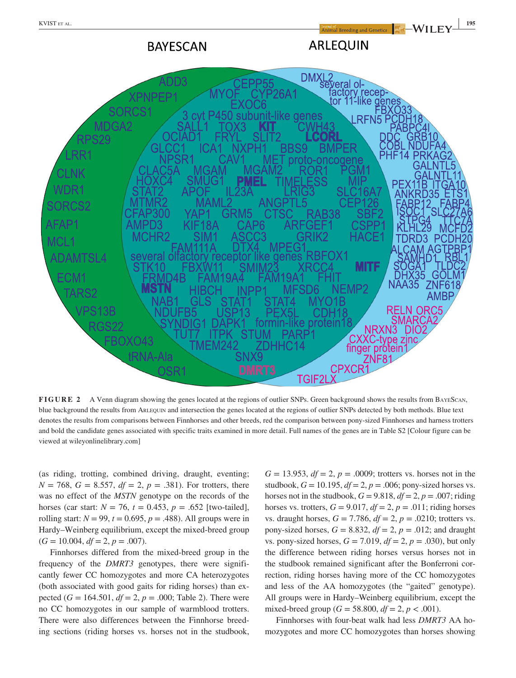**BAYESCAN** 

# **ARLEQUIN**



**FIGURE 2** A Venn diagram showing the genes located at the regions of outlier SNPs. Green background shows the results from BAYESCAN, blue background the results from ARLEQUIN and intersection the genes located at the regions of outlier SNPs detected by both methods. Blue text denotes the results from comparisons between Finnhorses and other breeds, red the comparison between pony-sized Finnhorses and harness trotters and bold the candidate genes associated with specific traits examined in more detail. Full names of the genes are in Table S2 [Colour figure can be viewed at [wileyonlinelibrary.com](www.wileyonlinelibrary.com)]

(as riding, trotting, combined driving, draught, eventing;  $N = 768$ ,  $G = 8.557$ ,  $df = 2$ ,  $p = .381$ ). For trotters, there was no effect of the *MSTN* genotype on the records of the horses (car start:  $N = 76$ ,  $t = 0.453$ ,  $p = .652$  [two-tailed], rolling start:  $N = 99$ ,  $t = 0.695$ ,  $p = .488$ ). All groups were in Hardy–Weinberg equilibrium, except the mixed-breed group  $(G = 10.004, df = 2, p = .007).$ 

Finnhorses differed from the mixed-breed group in the frequency of the *DMRT3* genotypes, there were significantly fewer CC homozygotes and more CA heterozygotes (both associated with good gaits for riding horses) than expected  $(G = 164.501, df = 2, p = .000;$  Table 2). There were no CC homozygotes in our sample of warmblood trotters. There were also differences between the Finnhorse breeding sections (riding horses vs. horses not in the studbook,

 $G = 13.953, df = 2, p = .0009$ ; trotters vs. horses not in the studbook,  $G = 10.195$ ,  $df = 2$ ,  $p = .006$ ; pony-sized horses vs. horses not in the studbook,  $G = 9.818$ ,  $df = 2$ ,  $p = .007$ ; riding horses vs. trotters,  $G = 9.017$ ,  $df = 2$ ,  $p = .011$ ; riding horses vs. draught horses,  $G = 7.786$ ,  $df = 2$ ,  $p = .0210$ ; trotters vs. pony-sized horses,  $G = 8.832$ ,  $df = 2$ ,  $p = .012$ ; and draught vs. pony-sized horses,  $G = 7.019$ ,  $df = 2$ ,  $p = .030$ ), but only the difference between riding horses versus horses not in the studbook remained significant after the Bonferroni correction, riding horses having more of the CC homozygotes and less of the AA homozygotes (the "gaited" genotype). All groups were in Hardy–Weinberg equilibrium, except the mixed-breed group ( $G = 58.800$ ,  $df = 2$ ,  $p < .001$ ).

Finnhorses with four-beat walk had less *DMRT3* AA homozygotes and more CC homozygotes than horses showing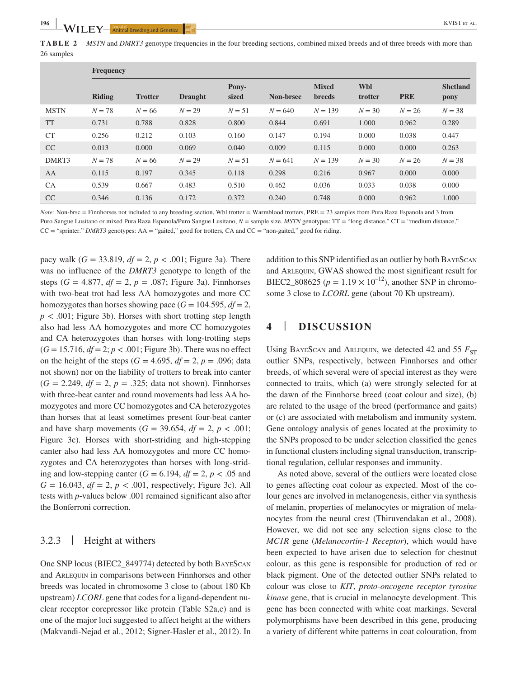**TABLE 2** *MSTN* and *DMRT3* genotype frequencies in the four breeding sections, combined mixed breeds and of three breeds with more than 26 samples

|             | <b>Frequency</b> |                |                |                |           |                               |                       |            |                         |
|-------------|------------------|----------------|----------------|----------------|-----------|-------------------------------|-----------------------|------------|-------------------------|
|             | <b>Riding</b>    | <b>Trotter</b> | <b>Draught</b> | Pony-<br>sized | Non-brsec | <b>Mixed</b><br><b>breeds</b> | <b>Wbl</b><br>trotter | <b>PRE</b> | <b>Shetland</b><br>pony |
| <b>MSTN</b> | $N = 78$         | $N = 66$       | $N = 29$       | $N = 51$       | $N = 640$ | $N = 139$                     | $N = 30$              | $N = 26$   | $N = 38$                |
| <b>TT</b>   | 0.731            | 0.788          | 0.828          | 0.800          | 0.844     | 0.691                         | 1.000                 | 0.962      | 0.289                   |
| <b>CT</b>   | 0.256            | 0.212          | 0.103          | 0.160          | 0.147     | 0.194                         | 0.000                 | 0.038      | 0.447                   |
| CC          | 0.013            | 0.000          | 0.069          | 0.040          | 0.009     | 0.115                         | 0.000                 | 0.000      | 0.263                   |
| DMRT3       | $N = 78$         | $N = 66$       | $N = 29$       | $N = 51$       | $N = 641$ | $N = 139$                     | $N = 30$              | $N = 26$   | $N = 38$                |
| AA          | 0.115            | 0.197          | 0.345          | 0.118          | 0.298     | 0.216                         | 0.967                 | 0.000      | 0.000                   |
| <b>CA</b>   | 0.539            | 0.667          | 0.483          | 0.510          | 0.462     | 0.036                         | 0.033                 | 0.038      | 0.000                   |
| CC          | 0.346            | 0.136          | 0.172          | 0.372          | 0.240     | 0.748                         | 0.000                 | 0.962      | 1.000                   |

*Note:* Non-brsc = Finnhorses not included to any breeding section, Wbl trotter = Warmblood trotters, PRE = 23 samples from Pura Raza Espanola and 3 from Puro Sangue Lusitano or mixed Pura Raza Espanola/Puro Sangue Lusitano,  $N =$  sample size. *MSTN* genotypes: TT = "long distance," CT = "medium distance," CC = "sprinter." *DMRT3* genotypes: AA = "gaited," good for trotters, CA and CC = "non-gaited," good for riding.

pacy walk  $(G = 33.819, df = 2, p < .001$ ; Figure 3a). There was no influence of the *DMRT3* genotype to length of the steps  $(G = 4.877, df = 2, p = .087;$  Figure 3a). Finnhorses with two-beat trot had less AA homozygotes and more CC homozygotes than horses showing pace  $(G = 104.595, df = 2$ ,  $p < .001$ ; Figure 3b). Horses with short trotting step length also had less AA homozygotes and more CC homozygotes and CA heterozygotes than horses with long-trotting steps  $(G = 15.716, df = 2; p < .001;$  Figure 3b). There was no effect on the height of the steps  $(G = 4.695, df = 2, p = .096; data)$ not shown) nor on the liability of trotters to break into canter  $(G = 2.249, df = 2, p = .325$ ; data not shown). Finnhorses with three-beat canter and round movements had less AA homozygotes and more CC homozygotes and CA heterozygotes than horses that at least sometimes present four-beat canter and have sharp movements  $(G = 39.654, df = 2, p < .001;$ Figure 3c). Horses with short-striding and high-stepping canter also had less AA homozygotes and more CC homozygotes and CA heterozygotes than horses with long-striding and low-stepping canter  $(G = 6.194, df = 2, p < .05$  and *G* = 16.043, *df* = 2, *p* < .001, respectively; Figure 3c). All tests with *p*-values below .001 remained significant also after the Bonferroni correction.

# 3.2.3 | Height at withers

One SNP locus (BIEC2\_849774) detected by both BayeScan and Arlequin in comparisons between Finnhorses and other breeds was located in chromosome 3 close to (about 180 Kb upstream) *LCORL* gene that codes for a ligand-dependent nuclear receptor corepressor like protein (Table S2a,c) and is one of the major loci suggested to affect height at the withers (Makvandi-Nejad et al., 2012; Signer-Hasler et al., 2012). In addition to this SNP identified as an outlier by both BayeScan and ARLEQUIN, GWAS showed the most significant result for BIEC2 808625 ( $p = 1.19 \times 10^{-12}$ ), another SNP in chromosome 3 close to *LCORL* gene (about 70 Kb upstream).

# **4** | **DISCUSSION**

Using BAYESCAN and ARLEQUIN, we detected 42 and 55  $F_{ST}$ outlier SNPs, respectively, between Finnhorses and other breeds, of which several were of special interest as they were connected to traits, which (a) were strongly selected for at the dawn of the Finnhorse breed (coat colour and size), (b) are related to the usage of the breed (performance and gaits) or (c) are associated with metabolism and immunity system. Gene ontology analysis of genes located at the proximity to the SNPs proposed to be under selection classified the genes in functional clusters including signal transduction, transcriptional regulation, cellular responses and immunity.

As noted above, several of the outliers were located close to genes affecting coat colour as expected. Most of the colour genes are involved in melanogenesis, either via synthesis of melanin, properties of melanocytes or migration of melanocytes from the neural crest (Thiruvendakan et al., 2008). However, we did not see any selection signs close to the *MC1R* gene (*Melanocortin-1 Receptor*), which would have been expected to have arisen due to selection for chestnut colour, as this gene is responsible for production of red or black pigment. One of the detected outlier SNPs related to colour was close to *KIT*, *proto-oncogene receptor tyrosine kinase* gene, that is crucial in melanocyte development. This gene has been connected with white coat markings. Several polymorphisms have been described in this gene, producing a variety of different white patterns in coat colouration, from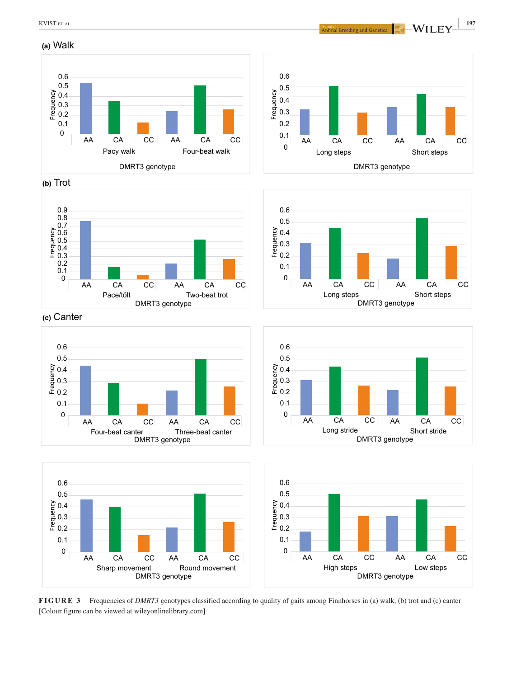**(a)** Walk

**(b)** Trot





**(c)** Canter













**FIGURE 3** Frequencies of *DMRT3* genotypes classified according to quality of gaits among Finnhorses in (a) walk, (b) trot and (c) canter [Colour figure can be viewed at [wileyonlinelibrary.com](www.wileyonlinelibrary.com)]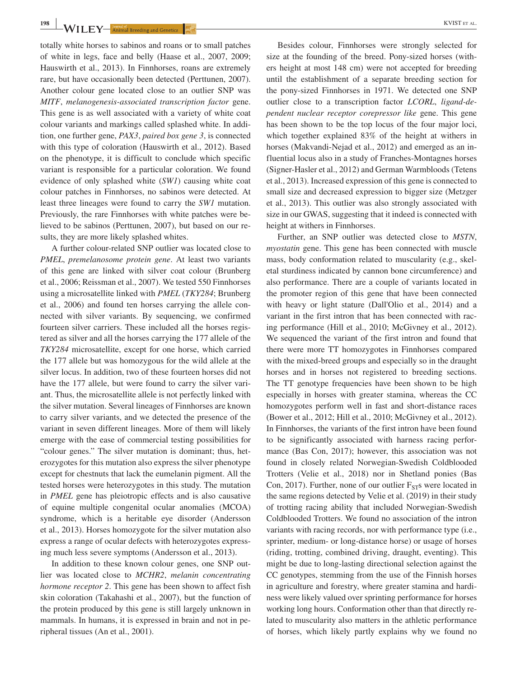**198 WILEY**—**Animal Breeding and Genetics Example 1 Contract and Cenetics Example 1 Contract and Cenetics Example 1 Contract and Cenetics Example 1 Contract and Cenetics Example 1 Contract and Cenetic** 

totally white horses to sabinos and roans or to small patches of white in legs, face and belly (Haase et al., 2007, 2009; Hauswirth et al., 2013). In Finnhorses, roans are extremely rare, but have occasionally been detected (Perttunen, 2007). Another colour gene located close to an outlier SNP was *MITF*, *melanogenesis-associated transcription factor* gene. This gene is as well associated with a variety of white coat colour variants and markings called splashed white. In addition, one further gene, *PAX3*, *paired box gene 3*, is connected with this type of coloration (Hauswirth et al., 2012). Based on the phenotype, it is difficult to conclude which specific variant is responsible for a particular coloration. We found evidence of only splashed white (*SW1*) causing white coat colour patches in Finnhorses, no sabinos were detected. At least three lineages were found to carry the *SW1* mutation. Previously, the rare Finnhorses with white patches were believed to be sabinos (Perttunen, 2007), but based on our results, they are more likely splashed whites.

A further colour-related SNP outlier was located close to *PMEL*, *premelanosome protein gene*. At least two variants of this gene are linked with silver coat colour (Brunberg et al., 2006; Reissman et al., 2007). We tested 550 Finnhorses using a microsatellite linked with *PMEL* (*TKY284*; Brunberg et al., 2006) and found ten horses carrying the allele connected with silver variants. By sequencing, we confirmed fourteen silver carriers. These included all the horses registered as silver and all the horses carrying the 177 allele of the *TKY284* microsatellite, except for one horse, which carried the 177 allele but was homozygous for the wild allele at the silver locus. In addition, two of these fourteen horses did not have the 177 allele, but were found to carry the silver variant. Thus, the microsatellite allele is not perfectly linked with the silver mutation. Several lineages of Finnhorses are known to carry silver variants, and we detected the presence of the variant in seven different lineages. More of them will likely emerge with the ease of commercial testing possibilities for "colour genes." The silver mutation is dominant; thus, heterozygotes for this mutation also express the silver phenotype except for chestnuts that lack the eumelanin pigment. All the tested horses were heterozygotes in this study. The mutation in *PMEL* gene has pleiotropic effects and is also causative of equine multiple congenital ocular anomalies (MCOA) syndrome, which is a heritable eye disorder (Andersson et al., 2013). Horses homozygote for the silver mutation also express a range of ocular defects with heterozygotes expressing much less severe symptoms (Andersson et al., 2013).

In addition to these known colour genes, one SNP outlier was located close to *MCHR2*, *melanin concentrating hormone receptor 2*. This gene has been shown to affect fish skin coloration (Takahashi et al., 2007), but the function of the protein produced by this gene is still largely unknown in mammals. In humans, it is expressed in brain and not in peripheral tissues (An et al., 2001).

Besides colour, Finnhorses were strongly selected for size at the founding of the breed. Pony-sized horses (withers height at most 148 cm) were not accepted for breeding until the establishment of a separate breeding section for the pony-sized Finnhorses in 1971. We detected one SNP outlier close to a transcription factor *LCORL*, *ligand-dependent nuclear receptor corepressor like* gene. This gene has been shown to be the top locus of the four major loci, which together explained 83% of the height at withers in horses (Makvandi-Nejad et al., 2012) and emerged as an influential locus also in a study of Franches-Montagnes horses (Signer-Hasler et al., 2012) and German Warmbloods (Tetens et al., 2013). Increased expression of this gene is connected to small size and decreased expression to bigger size (Metzger et al., 2013). This outlier was also strongly associated with size in our GWAS, suggesting that it indeed is connected with height at withers in Finnhorses.

Further, an SNP outlier was detected close to *MSTN*, *myostatin* gene. This gene has been connected with muscle mass, body conformation related to muscularity (e.g., skeletal sturdiness indicated by cannon bone circumference) and also performance. There are a couple of variants located in the promoter region of this gene that have been connected with heavy or light stature (Dall'Olio et al., 2014) and a variant in the first intron that has been connected with racing performance (Hill et al., 2010; McGivney et al., 2012). We sequenced the variant of the first intron and found that there were more TT homozygotes in Finnhorses compared with the mixed-breed groups and especially so in the draught horses and in horses not registered to breeding sections. The TT genotype frequencies have been shown to be high especially in horses with greater stamina, whereas the CC homozygotes perform well in fast and short-distance races (Bower et al., 2012; Hill et al., 2010; McGivney et al., 2012). In Finnhorses, the variants of the first intron have been found to be significantly associated with harness racing performance (Bas Con, 2017); however, this association was not found in closely related Norwegian-Swedish Coldblooded Trotters (Velie et al., 2018) nor in Shetland ponies (Bas Con, 2017). Further, none of our outlier  $F_{ST}$ s were located in the same regions detected by Velie et al. (2019) in their study of trotting racing ability that included Norwegian-Swedish Coldblooded Trotters. We found no association of the intron variants with racing records, nor with performance type (i.e., sprinter, medium- or long-distance horse) or usage of horses (riding, trotting, combined driving, draught, eventing). This might be due to long-lasting directional selection against the CC genotypes, stemming from the use of the Finnish horses in agriculture and forestry, where greater stamina and hardiness were likely valued over sprinting performance for horses working long hours. Conformation other than that directly related to muscularity also matters in the athletic performance of horses, which likely partly explains why we found no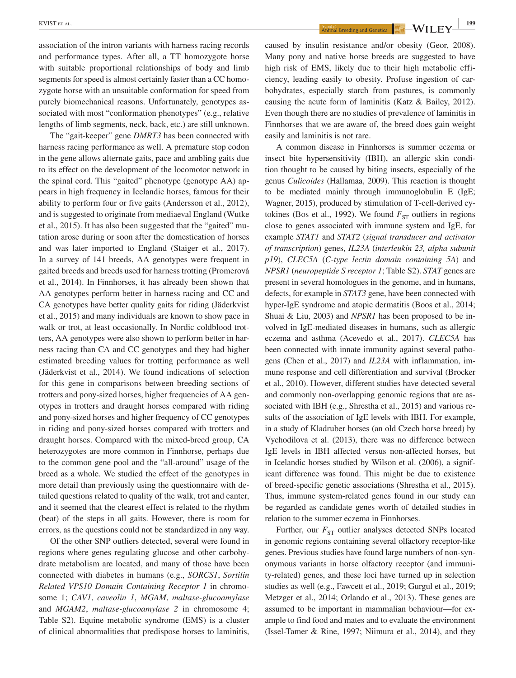association of the intron variants with harness racing records and performance types. After all, a TT homozygote horse with suitable proportional relationships of body and limb segments for speed is almost certainly faster than a CC homozygote horse with an unsuitable conformation for speed from purely biomechanical reasons. Unfortunately, genotypes associated with most "conformation phenotypes" (e.g., relative lengths of limb segments, neck, back, etc.) are still unknown.

The "gait-keeper" gene *DMRT3* has been connected with harness racing performance as well. A premature stop codon in the gene allows alternate gaits, pace and ambling gaits due to its effect on the development of the locomotor network in the spinal cord. This "gaited" phenotype (genotype AA) appears in high frequency in Icelandic horses, famous for their ability to perform four or five gaits (Andersson et al., 2012), and is suggested to originate from mediaeval England (Wutke et al., 2015). It has also been suggested that the "gaited" mutation arose during or soon after the domestication of horses and was later imported to England (Staiger et al., 2017). In a survey of 141 breeds, AA genotypes were frequent in gaited breeds and breeds used for harness trotting (Promerová et al., 2014). In Finnhorses, it has already been shown that AA genotypes perform better in harness racing and CC and CA genotypes have better quality gaits for riding (Jäderkvist et al., 2015) and many individuals are known to show pace in walk or trot, at least occasionally. In Nordic coldblood trotters, AA genotypes were also shown to perform better in harness racing than CA and CC genotypes and they had higher estimated breeding values for trotting performance as well (Jäderkvist et al., 2014). We found indications of selection for this gene in comparisons between breeding sections of trotters and pony-sized horses, higher frequencies of AA genotypes in trotters and draught horses compared with riding and pony-sized horses and higher frequency of CC genotypes in riding and pony-sized horses compared with trotters and draught horses. Compared with the mixed-breed group, CA heterozygotes are more common in Finnhorse, perhaps due to the common gene pool and the "all-around" usage of the breed as a whole. We studied the effect of the genotypes in more detail than previously using the questionnaire with detailed questions related to quality of the walk, trot and canter, and it seemed that the clearest effect is related to the rhythm (beat) of the steps in all gaits. However, there is room for errors, as the questions could not be standardized in any way.

Of the other SNP outliers detected, several were found in regions where genes regulating glucose and other carbohydrate metabolism are located, and many of those have been connected with diabetes in humans (e.g., *SORCS1*, *Sortilin Related VPS10 Domain Containing Receptor 1* in chromosome 1; *CAV1*, *caveolin 1*, *MGAM*, *maltase-glucoamylase* and *MGAM2*, *maltase-glucoamylase 2* in chromosome 4; Table S2). Equine metabolic syndrome (EMS) is a cluster of clinical abnormalities that predispose horses to laminitis,

**EXPLIST ET AL. 199**<br>Animal Breeding and Genetics **Animal Breeding and Genetics NLI EV** 

caused by insulin resistance and/or obesity (Geor, 2008). Many pony and native horse breeds are suggested to have high risk of EMS, likely due to their high metabolic efficiency, leading easily to obesity. Profuse ingestion of carbohydrates, especially starch from pastures, is commonly causing the acute form of laminitis (Katz & Bailey, 2012). Even though there are no studies of prevalence of laminitis in Finnhorses that we are aware of, the breed does gain weight easily and laminitis is not rare.

A common disease in Finnhorses is summer eczema or insect bite hypersensitivity (IBH), an allergic skin condition thought to be caused by biting insects, especially of the genus *Culicoides* (Hallamaa, 2009). This reaction is thought to be mediated mainly through immunoglobulin E (IgE; Wagner, 2015), produced by stimulation of T-cell-derived cytokines (Bos et al., 1992). We found  $F_{ST}$  outliers in regions close to genes associated with immune system and IgE, for example *STAT1* and *STAT2* (*signal transducer and activator of transcription*) genes, *IL23A* (*interleukin 23, alpha subunit p19*), *CLEC5A* (*C-type lectin domain containing 5A*) and *NPSR1* (*neuropeptide S receptor 1*; Table S2). *STAT* genes are present in several homologues in the genome, and in humans, defects, for example in *STAT3* gene, have been connected with hyper-IgE syndrome and atopic dermatitis (Boos et al., 2014; Shuai & Liu, 2003) and *NPSR1* has been proposed to be involved in IgE-mediated diseases in humans, such as allergic eczema and asthma (Acevedo et al., 2017). *CLEC5A* has been connected with innate immunity against several pathogens (Chen et al., 2017) and *IL23A* with inflammation, immune response and cell differentiation and survival (Brocker et al., 2010). However, different studies have detected several and commonly non-overlapping genomic regions that are associated with IBH (e.g., Shrestha et al., 2015) and various results of the association of IgE levels with IBH. For example, in a study of Kladruber horses (an old Czech horse breed) by Vychodilova et al. (2013), there was no difference between IgE levels in IBH affected versus non-affected horses, but in Icelandic horses studied by Wilson et al. (2006), a significant difference was found. This might be due to existence of breed-specific genetic associations (Shrestha et al., 2015). Thus, immune system-related genes found in our study can be regarded as candidate genes worth of detailed studies in relation to the summer eczema in Finnhorses.

Further, our  $F_{ST}$  outlier analyses detected SNPs located in genomic regions containing several olfactory receptor-like genes. Previous studies have found large numbers of non-synonymous variants in horse olfactory receptor (and immunity-related) genes, and these loci have turned up in selection studies as well (e.g., Fawcett et al., 2019; Gurgul et al., 2019; Metzger et al., 2014; Orlando et al., 2013). These genes are assumed to be important in mammalian behaviour—for example to find food and mates and to evaluate the environment (Issel-Tamer & Rine, 1997; Niimura et al., 2014), and they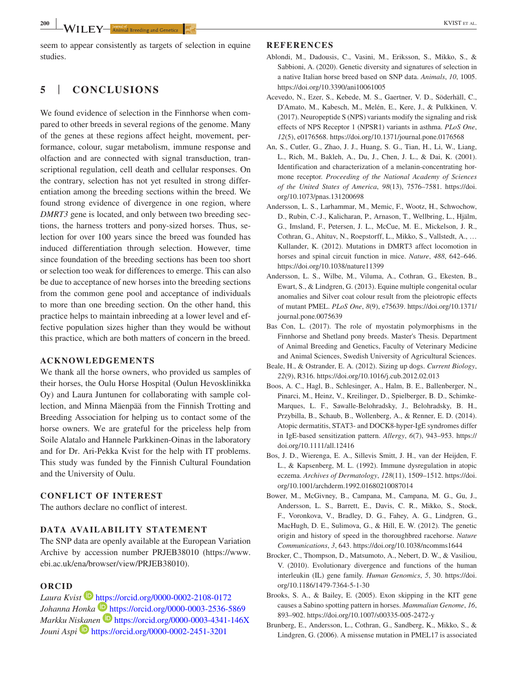seem to appear consistently as targets of selection in equine studies.

## **5** | **CONCLUSIONS**

We found evidence of selection in the Finnhorse when compared to other breeds in several regions of the genome. Many of the genes at these regions affect height, movement, performance, colour, sugar metabolism, immune response and olfaction and are connected with signal transduction, transcriptional regulation, cell death and cellular responses. On the contrary, selection has not yet resulted in strong differentiation among the breeding sections within the breed. We found strong evidence of divergence in one region, where *DMRT3* gene is located, and only between two breeding sections, the harness trotters and pony-sized horses. Thus, selection for over 100 years since the breed was founded has induced differentiation through selection. However, time since foundation of the breeding sections has been too short or selection too weak for differences to emerge. This can also be due to acceptance of new horses into the breeding sections from the common gene pool and acceptance of individuals to more than one breeding section. On the other hand, this practice helps to maintain inbreeding at a lower level and effective population sizes higher than they would be without this practice, which are both matters of concern in the breed.

#### **ACKNOWLEDGEMENTS**

We thank all the horse owners, who provided us samples of their horses, the Oulu Horse Hospital (Oulun Hevosklinikka Oy) and Laura Juntunen for collaborating with sample collection, and Minna Mäenpää from the Finnish Trotting and Breeding Association for helping us to contact some of the horse owners. We are grateful for the priceless help from Soile Alatalo and Hannele Parkkinen-Oinas in the laboratory and for Dr. Ari-Pekka Kvist for the help with IT problems. This study was funded by the Finnish Cultural Foundation and the University of Oulu.

#### **CONFLICT OF INTEREST**

The authors declare no conflict of interest.

#### **DATA AVAILABILITY STATEMENT**

The SNP data are openly available at the European Variation Archive by accession number [PRJEB38010](info:x-wiley/peptideatlas/PRJEB38010) ([https://www.](https://www.ebi.ac.uk/ena/browser/view/PRJEB38010) [ebi.ac.uk/ena/browser/view/PRJEB38010\)](https://www.ebi.ac.uk/ena/browser/view/PRJEB38010).

#### **ORCID**

*Laura Kvist* <https://orcid.org/0000-0002-2108-0172> Johanna Honka<sup> 1</sup><https://orcid.org/0000-0003-2536-5869> *Markku Ni[skan](https://orcid.org/0000-0002-2451-3201)en* <https://orcid.org/0000-0003-4341-146X> *Jouni Aspi* <https://orcid.org/0000-0002-2451-3201>

#### **REFERENCES**

- Ablondi, M., Dadousis, C., Vasini, M., Eriksson, S., Mikko, S., & Sabbioni, A. (2020). Genetic diversity and signatures of selection in a native Italian horse breed based on SNP data. *Animals*, *10*, 1005. <https://doi.org/10.3390/ani10061005>
- Acevedo, N., Ezer, S., Kebede, M. S., Gaertner, V. D., Söderhäll, C., D'Amato, M., Kabesch, M., Melén, E., Kere, J., & Pulkkinen, V. (2017). Neuropeptide S (NPS) variants modify the signaling and risk effects of NPS Receptor 1 (NPSR1) variants in asthma. *PLoS One*, *12*(5), e0176568. <https://doi.org/10.1371/journal.pone.0176568>
- An, S., Cutler, G., Zhao, J. J., Huang, S. G., Tian, H., Li, W., Liang, L., Rich, M., Bakleh, A., Du, J., Chen, J. L., & Dai, K. (2001). Identification and characterization of a melanin-concentrating hormone receptor. *Proceeding of the National Academy of Sciences of the United States of America*, *98*(13), 7576–7581. [https://doi.](https://doi.org/10.1073/pnas.131200698) [org/10.1073/pnas.131200698](https://doi.org/10.1073/pnas.131200698)
- Andersson, L. S., Larhammar, M., Memic, F., Wootz, H., Schwochow, D., Rubin, C.-J., Kalicharan, P., Arnason, T., Wellbring, L., Hjälm, G., Imsland, F., Petersen, J. L., McCue, M. E., Mickelson, J. R., Cothran, G., Ahituv, N., Roepstorff, L., Mikko, S., Vallstedt, A., … Kullander, K. (2012). Mutations in DMRT3 affect locomotion in horses and spinal circuit function in mice. *Nature*, *488*, 642–646. <https://doi.org/10.1038/nature11399>
- Andersson, L. S., Wilbe, M., Viluma, A., Cothran, G., Ekesten, B., Ewart, S., & Lindgren, G. (2013). Equine multiple congenital ocular anomalies and Silver coat colour result from the pleiotropic effects of mutant PMEL. *PLoS One*, *8*(9), e75639. [https://doi.org/10.1371/](https://doi.org/10.1371/journal.pone.0075639) [journal.pone.0075639](https://doi.org/10.1371/journal.pone.0075639)
- Bas Con, L. (2017). The role of myostatin polymorphisms in the Finnhorse and Shetland pony breeds. Master's Thesis. Department of Animal Breeding and Genetics, Faculty of Veterinary Medicine and Animal Sciences, Swedish University of Agricultural Sciences.
- Beale, H., & Ostrander, E. A. (2012). Sizing up dogs. *Current Biology*, *22*(9), R316. <https://doi.org/10.1016/j.cub.2012.02.013>
- Boos, A. C., Hagl, B., Schlesinger, A., Halm, B. E., Ballenberger, N., Pinarci, M., Heinz, V., Kreilinger, D., Spielberger, B. D., Schimke-Marques, L. F., Sawalle-Belohradsky, J., Belohradsky, B. H., Przybilla, B., Schaub, B., Wollenberg, A., & Renner, E. D. (2014). Atopic dermatitis, STAT3- and DOCK8-hyper-IgE syndromes differ in IgE-based sensitization pattern. *Allergy*, *6*(7), 943–953. [https://](https://doi.org/10.1111/all.12416) [doi.org/10.1111/all.12416](https://doi.org/10.1111/all.12416)
- Bos, J. D., Wierenga, E. A., Sillevis Smitt, J. H., van der Heijden, F. L., & Kapsenberg, M. L. (1992). Immune dysregulation in atopic eczema. *Archives of Dermatology*, *128*(11), 1509–1512. [https://doi.](https://doi.org/10.1001/archderm.1992.01680210087014) [org/10.1001/archderm.1992.01680210087014](https://doi.org/10.1001/archderm.1992.01680210087014)
- Bower, M., McGivney, B., Campana, M., Campana, M. G., Gu, J., Andersson, L. S., Barrett, E., Davis, C. R., Mikko, S., Stock, F., Voronkova, V., Bradley, D. G., Fahey, A. G., Lindgren, G., MacHugh, D. E., Sulimova, G., & Hill, E. W. (2012). The genetic origin and history of speed in the thoroughbred racehorse. *Nature Communications*, *3*, 643. <https://doi.org/10.1038/ncomms1644>
- Brocker, C., Thompson, D., Matsumoto, A., Nebert, D. W., & Vasiliou, V. (2010). Evolutionary divergence and functions of the human interleukin (IL) gene family. *Human Genomics*, *5*, 30. [https://doi.](https://doi.org/10.1186/1479-7364-5-1-30) [org/10.1186/1479-7364-5-1-30](https://doi.org/10.1186/1479-7364-5-1-30)
- Brooks, S. A., & Bailey, E. (2005). Exon skipping in the KIT gene causes a Sabino spotting pattern in horses. *Mammalian Genome*, *16*, 893–902. <https://doi.org/10.1007/s00335-005-2472-y>
- Brunberg, E., Andersson, L., Cothran, G., Sandberg, K., Mikko, S., & Lindgren, G. (2006). A missense mutation in PMEL17 is associated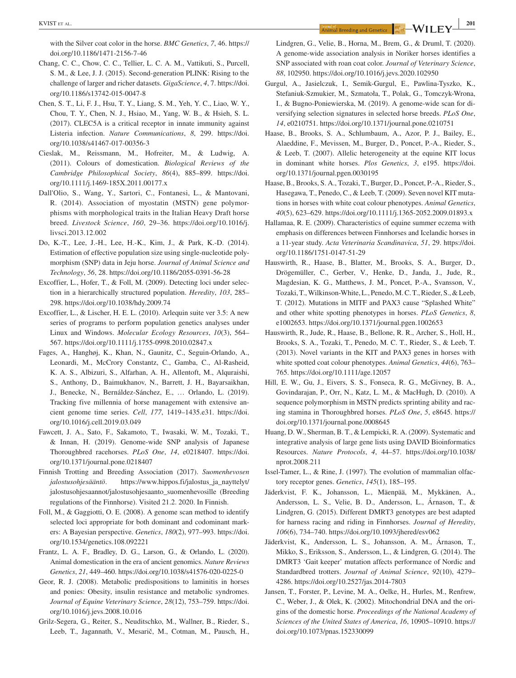**|** KVIST et al. **<sup>201</sup>**

with the Silver coat color in the horse. *BMC Genetics*, *7*, 46. [https://](https://doi.org/10.1186/1471-2156-7-46) [doi.org/10.1186/1471-2156-7-46](https://doi.org/10.1186/1471-2156-7-46)

- Chang, C. C., Chow, C. C., Tellier, L. C. A. M., Vattikuti, S., Purcell, S. M., & Lee, J. J. (2015). Second-generation PLINK: Rising to the challenge of larger and richer datasets. *GigaScience*, *4*, 7. [https://doi.](https://doi.org/10.1186/s13742-015-0047-8) [org/10.1186/s13742-015-0047-8](https://doi.org/10.1186/s13742-015-0047-8)
- Chen, S. T., Li, F. J., Hsu, T. Y., Liang, S. M., Yeh, Y. C., Liao, W. Y., Chou, T. Y., Chen, N. J., Hsiao, M., Yang, W. B., & Hsieh, S. L. (2017). CLEC5A is a critical receptor in innate immunity against Listeria infection. *Nature Communications*, *8*, 299. [https://doi.](https://doi.org/10.1038/s41467-017-00356-3) [org/10.1038/s41467-017-00356-3](https://doi.org/10.1038/s41467-017-00356-3)
- Cieslak, M., Reissmann, M., Hofreiter, M., & Ludwig, A. (2011). Colours of domestication. *Biological Reviews of the Cambridge Philosophical Society*, *86*(4), 885–899. [https://doi.](https://doi.org/10.1111/j.1469-185X.2011.00177.x) [org/10.1111/j.1469-185X.2011.00177.x](https://doi.org/10.1111/j.1469-185X.2011.00177.x)
- Dall'Olio, S., Wang, Y., Sartori, C., Fontanesi, L., & Mantovani, R. (2014). Association of myostatin (MSTN) gene polymorphisms with morphological traits in the Italian Heavy Draft horse breed. *Livestock Science*, *160*, 29–36. [https://doi.org/10.1016/j.](https://doi.org/10.1016/j.livsci.2013.12.002) [livsci.2013.12.002](https://doi.org/10.1016/j.livsci.2013.12.002)
- Do, K.-T., Lee, J.-H., Lee, H.-K., Kim, J., & Park, K.-D. (2014). Estimation of effective population size using single-nucleotide polymorphism (SNP) data in Jeju horse. *Journal of Animal Science and Technology*, *56*, 28.<https://doi.org/10.1186/2055-0391-56-28>
- Excoffier, L., Hofer, T., & Foll, M. (2009). Detecting loci under selection in a hierarchically structured population. *Heredity*, *103*, 285– 298. <https://doi.org/10.1038/hdy.2009.74>
- Excoffier, L., & Lischer, H. E. L. (2010). Arlequin suite ver 3.5: A new series of programs to perform population genetics analyses under Linux and Windows. *Molecular Ecology Resources*, *10*(3), 564– 567. <https://doi.org/10.1111/j.1755-0998.2010.02847.x>
- Fages, A., Hanghøj, K., Khan, N., Gaunitz, C., Seguin-Orlando, A., Leonardi, M., McCrory Constantz, C., Gamba, C., Al-Rasheid, K. A. S., Albizuri, S., Alfarhan, A. H., Allentoft, M., Alquraishi, S., Anthony, D., Baimukhanov, N., Barrett, J. H., Bayarsaikhan, J., Benecke, N., Bernáldez-Sánchez, E., … Orlando, L. (2019). Tracking five millennia of horse management with extensive ancient genome time series. *Cell*, *177*, 1419–1435.e31. [https://doi.](https://doi.org/10.1016/j.cell.2019.03.049) [org/10.1016/j.cell.2019.03.049](https://doi.org/10.1016/j.cell.2019.03.049)
- Fawcett, J. A., Sato, F., Sakamoto, T., Iwasaki, W. M., Tozaki, T., & Innan, H. (2019). Genome-wide SNP analysis of Japanese Thoroughbred racehorses. *PLoS One*, *14*, e0218407. [https://doi.](https://doi.org/10.1371/journal.pone.0218407) [org/10.1371/journal.pone.0218407](https://doi.org/10.1371/journal.pone.0218407)
- Finnish Trotting and Breeding Association (2017). *Suomenhevosen jalostusohjesääntö*. [https://www.hippos.fi/jalostus\\_ja\\_nayttelyt/](https://www.hippos.fi/jalostus_ja_nayttelyt/jalostusohjesaannot/jalostusohjesaanto_suomenhevosille) [jalostusohjesaannot/jalostusohjesaanto\\_suomenhevosille](https://www.hippos.fi/jalostus_ja_nayttelyt/jalostusohjesaannot/jalostusohjesaanto_suomenhevosille) (Breeding regulations of the Finnhorse). Visited 21.2. 2020. In Finnish.
- Foll, M., & Gaggiotti, O. E. (2008). A genome scan method to identify selected loci appropriate for both dominant and codominant markers: A Bayesian perspective. *Genetics*, *180*(2), 977–993. [https://doi.](https://doi.org/10.1534/genetics.108.092221) [org/10.1534/genetics.108.092221](https://doi.org/10.1534/genetics.108.092221)
- Frantz, L. A. F., Bradley, D. G., Larson, G., & Orlando, L. (2020). Animal domestication in the era of ancient genomics. *Nature Reviews Genetics*, *21*, 449–460. <https://doi.org/10.1038/s41576-020-0225-0>
- Geor, R. J. (2008). Metabolic predispositions to laminitis in horses and ponies: Obesity, insulin resistance and metabolic syndromes. *Journal of Equine Veterinary Science*, *28*(12), 753–759. [https://doi.](https://doi.org/10.1016/j.jevs.2008.10.016) [org/10.1016/j.jevs.2008.10.016](https://doi.org/10.1016/j.jevs.2008.10.016)
- Grilz-Segera, G., Reiter, S., Neuditschko, M., Wallner, B., Rieder, S., Leeb, T., Jagannath, V., Mesarič, M., Cotman, M., Pausch, H.,

Lindgren, G., Velie, B., Horna, M., Brem, G., & Druml, T. (2020). A genome-wide association analysis in Noriker horses identifies a SNP associated with roan coat color. *Journal of Veterinary Science*, *88*, 102950.<https://doi.org/10.1016/j.jevs.2020.102950>

- Gurgul, A., Jasielczuk, I., Semik-Gurgul, E., Pawlina-Tyszko, K., Stefaniuk-Szmukier, M., Szmatoła, T., Polak, G., Tomczyk-Wrona, I., & Bugno-Poniewierska, M. (2019). A genome-wide scan for diversifying selection signatures in selected horse breeds. *PLoS One*, *14*, e0210751.<https://doi.org/10.1371/journal.pone.0210751>
- Haase, B., Brooks, S. A., Schlumbaum, A., Azor, P. J., Bailey, E., Alaeddine, F., Mevissen, M., Burger, D., Poncet, P.-A., Rieder, S., & Leeb, T. (2007). Allelic heterogeneity at the equine KIT locus in dominant white horses. *Plos Genetics*, *3*, e195. [https://doi.](https://doi.org/10.1371/journal.pgen.0030195) [org/10.1371/journal.pgen.0030195](https://doi.org/10.1371/journal.pgen.0030195)
- Haase, B., Brooks, S. A., Tozaki, T., Burger, D., Poncet, P.-A., Rieder, S., Hasegawa, T., Penedo, C., & Leeb, T. (2009). Seven novel KIT mutations in horses with white coat colour phenotypes. *Animal Genetics*, *40*(5), 623–629.<https://doi.org/10.1111/j.1365-2052.2009.01893.x>
- Hallamaa, R. E. (2009). Characteristics of equine summer eczema with emphasis on differences between Finnhorses and Icelandic horses in a 11-year study. *Acta Veterinaria Scandinavica*, *51*, 29. [https://doi.](https://doi.org/10.1186/1751-0147-51-29) [org/10.1186/1751-0147-51-29](https://doi.org/10.1186/1751-0147-51-29)
- Hauswirth, R., Haase, B., Blatter, M., Brooks, S. A., Burger, D., Drögemüller, C., Gerber, V., Henke, D., Janda, J., Jude, R., Magdesian, K. G., Matthews, J. M., Poncet, P.-A., Svansson, V., Tozaki, T., Wilkinson-White, L., Penedo, M. C. T., Rieder, S., & Leeb, T. (2012). Mutations in MITF and PAX3 cause "Splashed White" and other white spotting phenotypes in horses. *PLoS Genetics*, *8*, e1002653. <https://doi.org/10.1371/journal.pgen.1002653>
- Hauswirth, R., Jude, R., Haase, B., Bellone, R. R., Archer, S., Holl, H., Brooks, S. A., Tozaki, T., Penedo, M. C. T., Rieder, S., & Leeb, T. (2013). Novel variants in the KIT and PAX3 genes in horses with white spotted coat colour phenotypes. *Animal Genetics*, *44*(6), 763– 765. <https://doi.org/10.1111/age.12057>
- Hill, E. W., Gu, J., Eivers, S. S., Fonseca, R. G., McGivney, B. A., Govindarajan, P., Orr, N., Katz, L. M., & MacHugh, D. (2010). A sequence polymorphism in MSTN predicts sprinting ability and racing stamina in Thoroughbred horses. *PLoS One*, *5*, e8645. [https://](https://doi.org/10.1371/journal.pone.0008645) [doi.org/10.1371/journal.pone.0008645](https://doi.org/10.1371/journal.pone.0008645)
- Huang, D. W., Sherman, B. T., & Lempicki, R. A. (2009). Systematic and integrative analysis of large gene lists using DAVID Bioinformatics Resources. *Nature Protocols*, *4*, 44–57. [https://doi.org/10.1038/](https://doi.org/10.1038/nprot.2008.211) [nprot.2008.211](https://doi.org/10.1038/nprot.2008.211)
- Issel-Tamer, L., & Rine, J. (1997). The evolution of mammalian olfactory receptor genes. *Genetics*, *145*(1), 185–195.
- Jäderkvist, F. K., Johansson, L., Mäenpää, M., Mykkänen, A., Andersson, L. S., Velie, B. D., Andersson, L., Árnason, T., & Lindgren, G. (2015). Different DMRT3 genotypes are best adapted for harness racing and riding in Finnhorses. *Journal of Heredity*, *106*(6), 734–740. <https://doi.org/10.1093/jhered/esv062>
- Jäderkvist, K., Andersson, L. S., Johansson, A. M., Árnason, T., Mikko, S., Eriksson, S., Andersson, L., & Lindgren, G. (2014). The DMRT3 'Gait keeper' mutation affects performance of Nordic and Standardbred trotters. *Journal of Animal Science*, *92*(10), 4279– 4286.<https://doi.org/10.2527/jas.2014-7803>
- Jansen, T., Forster, P., Levine, M. A., Oelke, H., Hurles, M., Renfrew, C., Weber, J., & Olek, K. (2002). Mitochondrial DNA and the origins of the domestic horse. *Proceedings of the National Academy of Sciences of the United States of America*, *16*, 10905–10910. [https://](https://doi.org/10.1073/pnas.152330099) [doi.org/10.1073/pnas.152330099](https://doi.org/10.1073/pnas.152330099)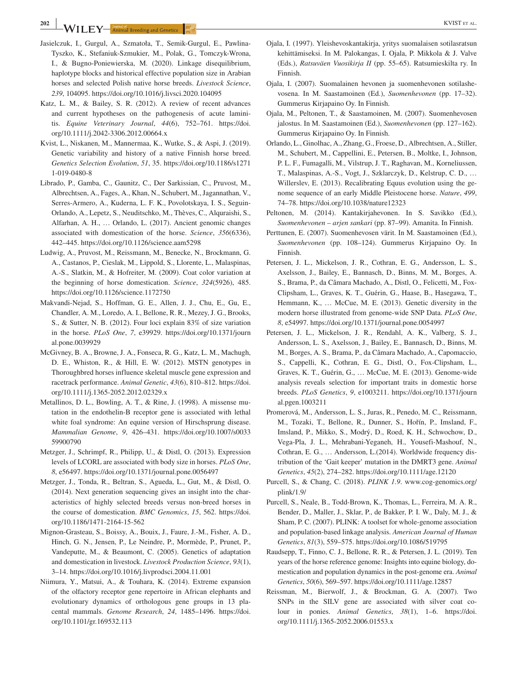- Jasielczuk, I., Gurgul, A., Szmatoła, T., Semik-Gurgul, E., Pawlina-Tyszko, K., Stefaniuk-Szmukier, M., Polak, G., Tomczyk-Wrona, I., & Bugno-Poniewierska, M. (2020). Linkage disequilibrium, haplotype blocks and historical effective population size in Arabian horses and selected Polish native horse breeds. *Livestock Science*, *239*, 104095.<https://doi.org/10.1016/j.livsci.2020.104095>
- Katz, L. M., & Bailey, S. R. (2012). A review of recent advances and current hypotheses on the pathogenesis of acute laminitis. *Equine Veterinary Journal*, *44*(6), 752–761. [https://doi.](https://doi.org/10.1111/j.2042-3306.2012.00664.x) [org/10.1111/j.2042-3306.2012.00664.x](https://doi.org/10.1111/j.2042-3306.2012.00664.x)
- Kvist, L., Niskanen, M., Mannermaa, K., Wutke, S., & Aspi, J. (2019). Genetic variability and history of a native Finnish horse breed. *Genetics Selection Evolution*, *51*, 35. [https://doi.org/10.1186/s1271](https://doi.org/10.1186/s12711-019-0480-8) [1-019-0480-8](https://doi.org/10.1186/s12711-019-0480-8)
- Librado, P., Gamba, C., Gaunitz, C., Der Sarkissian, C., Pruvost, M., Albrechtsen, A., Fages, A., Khan, N., Schubert, M., Jagannathan, V., Serres-Armero, A., Kuderna, L. F. K., Povolotskaya, I. S., Seguin-Orlando, A., Lepetz, S., Neuditschko, M., Thèves, C., Alquraishi, S., Alfarhan, A. H., … Orlando, L. (2017). Ancient genomic changes associated with domestication of the horse. *Science*, *356*(6336), 442–445.<https://doi.org/10.1126/science.aam5298>
- Ludwig, A., Pruvost, M., Reissmann, M., Benecke, N., Brockmann, G. A., Castanos, P., Cieslak, M., Lippold, S., Llorente, L., Malaspinas, A.-S., Slatkin, M., & Hofreiter, M. (2009). Coat color variation at the beginning of horse domestication. *Science*, *324*(5926), 485. <https://doi.org/10.1126/science.1172750>
- Makvandi-Nejad, S., Hoffman, G. E., Allen, J. J., Chu, E., Gu, E., Chandler, A. M., Loredo, A. I., Bellone, R. R., Mezey, J. G., Brooks, S., & Sutter, N. B. (2012). Four loci explain 83% of size variation in the horse. *PLoS One*, *7*, e39929. [https://doi.org/10.1371/journ](https://doi.org/10.1371/journal.pone.0039929) [al.pone.0039929](https://doi.org/10.1371/journal.pone.0039929)
- McGivney, B. A., Browne, J. A., Fonseca, R. G., Katz, L. M., Machugh, D. E., Whiston, R., & Hill, E. W. (2012). MSTN genotypes in Thoroughbred horses influence skeletal muscle gene expression and racetrack performance. *Animal Genetic*, *43*(6), 810–812. [https://doi.](https://doi.org/10.1111/j.1365-2052.2012.02329.x) [org/10.1111/j.1365-2052.2012.02329.x](https://doi.org/10.1111/j.1365-2052.2012.02329.x)
- Metallinos, D. L., Bowling, A. T., & Rine, J. (1998). A missense mutation in the endothelin-B receptor gene is associated with lethal white foal syndrome: An equine version of Hirschsprung disease. *Mammalian Genome*, *9*, 426–431. [https://doi.org/10.1007/s0033](https://doi.org/10.1007/s003359900790) [59900790](https://doi.org/10.1007/s003359900790)
- Metzger, J., Schrimpf, R., Philipp, U., & Distl, O. (2013). Expression levels of LCORL are associated with body size in horses. *PLoS One*, *8*, e56497.<https://doi.org/10.1371/journal.pone.0056497>
- Metzger, J., Tonda, R., Beltran, S., Agueda, L., Gut, M., & Distl, O. (2014). Next generation sequencing gives an insight into the characteristics of highly selected breeds versus non-breed horses in the course of domestication. *BMC Genomics*, *15*, 562. [https://doi.](https://doi.org/10.1186/1471-2164-15-562) [org/10.1186/1471-2164-15-562](https://doi.org/10.1186/1471-2164-15-562)
- Mignon-Grasteau, S., Boissy, A., Bouix, J., Faure, J.-M., Fisher, A. D., Hinch, G. N., Jensen, P., Le Neindre, P., Mormède, P., Prunet, P., Vandeputte, M., & Beaumont, C. (2005). Genetics of adaptation and domestication in livestock. *Livestock Production Science*, *93*(1), 3–14. <https://doi.org/10.1016/j.livprodsci.2004.11.001>
- Niimura, Y., Matsui, A., & Touhara, K. (2014). Extreme expansion of the olfactory receptor gene repertoire in African elephants and evolutionary dynamics of orthologous gene groups in 13 placental mammals. *Genome Research*, *24*, 1485–1496. [https://doi.](https://doi.org/10.1101/gr.169532.113) [org/10.1101/gr.169532.113](https://doi.org/10.1101/gr.169532.113)
- Ojala, I. (1997). Yleishevoskantakirja, yritys suomalaisen sotilasratsun kehittämiseksi. In M. Palokangas, I. Ojala, P. Mikkola & J. Valve (Eds.), *Ratsuväen Vuosikirja II* (pp. 55–65). Ratsumieskilta ry. In Finnish.
- Ojala, I. (2007). Suomalainen hevonen ja suomenhevonen sotilashevosena. In M. Saastamoinen (Ed.), *Suomenhevonen* (pp. 17–32). Gummerus Kirjapaino Oy. In Finnish.
- Ojala, M., Peltonen, T., & Saastamoinen, M. (2007). Suomenhevosen jalostus. In M. Saastamoinen (Ed.), *Suomenhevonen* (pp. 127–162). Gummerus Kirjapaino Oy. In Finnish.
- Orlando, L., Ginolhac, A., Zhang, G., Froese, D., Albrechtsen, A., Stiller, M., Schubert, M., Cappellini, E., Petersen, B., Moltke, I., Johnson, P. L. F., Fumagalli, M., Vilstrup, J. T., Raghavan, M., Korneliussen, T., Malaspinas, A.-S., Vogt, J., Szklarczyk, D., Kelstrup, C. D., … Willerslev, E. (2013). Recalibrating Equus evolution using the genome sequence of an early Middle Pleistocene horse. *Nature*, *499*, 74–78. <https://doi.org/10.1038/nature12323>
- Peltonen, M. (2014). Kantakirjahevonen. In S. Savikko (Ed.), *Suomenhevonen – arjen sankari* (pp. 87–99). Amanita. In Finnish.
- Perttunen, E. (2007). Suomenhevosen värit. In M. Saastamoinen (Ed.), *Suomenhevonen* (pp. 108–124). Gummerus Kirjapaino Oy. In Finnish.
- Petersen, J. L., Mickelson, J. R., Cothran, E. G., Andersson, L. S., Axelsson, J., Bailey, E., Bannasch, D., Binns, M. M., Borges, A. S., Brama, P., da Câmara Machado, A., Distl, O., Felicetti, M., Fox-Clipsham, L., Graves, K. T., Guérin, G., Haase, B., Hasegawa, T., Hemmann, K., … McCue, M. E. (2013). Genetic diversity in the modern horse illustrated from genome-wide SNP Data. *PLoS One*, *8*, e54997.<https://doi.org/10.1371/journal.pone.0054997>
- Petersen, J. L., Mickelson, J. R., Rendahl, A. K., Valberg, S. J., Andersson, L. S., Axelsson, J., Bailey, E., Bannasch, D., Binns, M. M., Borges, A. S., Brama, P., da Câmara Machado, A., Capomaccio, S., Cappelli, K., Cothran, E. G., Distl, O., Fox-Clipsham, L., Graves, K. T., Guérin, G., … McCue, M. E. (2013). Genome-wide analysis reveals selection for important traits in domestic horse breeds. *PLoS Genetics*, *9*, e1003211. [https://doi.org/10.1371/journ](https://doi.org/10.1371/journal.pgen.1003211) [al.pgen.1003211](https://doi.org/10.1371/journal.pgen.1003211)
- Promerová, M., Andersson, L. S., Juras, R., Penedo, M. C., Reissmann, M., Tozaki, T., Bellone, R., Dunner, S., Hořín, P., Imsland, F., Imsland, P., Mikko, S., Modrý, D., Roed, K. H., Schwochow, D., Vega-Pla, J. L., Mehrabani-Yeganeh, H., Yousefi-Mashouf, N., Cothran, E. G., … Andersson, L.(2014). Worldwide frequency distribution of the 'Gait keeper' mutation in the DMRT3 gene. *Animal Genetics*, *45*(2), 274–282.<https://doi.org/10.1111/age.12120>
- Purcell, S., & Chang, C. (2018). *PLINK 1.9*. [www.cog-genomics.org/](http://www.cog-genomics.org/plink/1.9/) [plink/1.9/](http://www.cog-genomics.org/plink/1.9/)
- Purcell, S., Neale, B., Todd-Brown, K., Thomas, L., Ferreira, M. A. R., Bender, D., Maller, J., Sklar, P., de Bakker, P. I. W., Daly, M. J., & Sham, P. C. (2007). PLINK: A toolset for whole-genome association and population-based linkage analysis. *American Journal of Human Genetics*, *81*(3), 559–575.<https://doi.org/10.1086/519795>
- Raudsepp, T., Finno, C. J., Bellone, R. R., & Petersen, J. L. (2019). Ten years of the horse reference genome: Insights into equine biology, domestication and population dynamics in the post-genome era. *Animal Genetics*, *50*(6), 569–597.<https://doi.org/10.1111/age.12857>
- Reissman, M., Bierwolf, J., & Brockman, G. A. (2007). Two SNPs in the SILV gene are associated with silver coat colour in ponies. *Animal Genetics*, *38*(1), 1–6. [https://doi.](https://doi.org/10.1111/j.1365-2052.2006.01553.x) [org/10.1111/j.1365-2052.2006.01553.x](https://doi.org/10.1111/j.1365-2052.2006.01553.x)